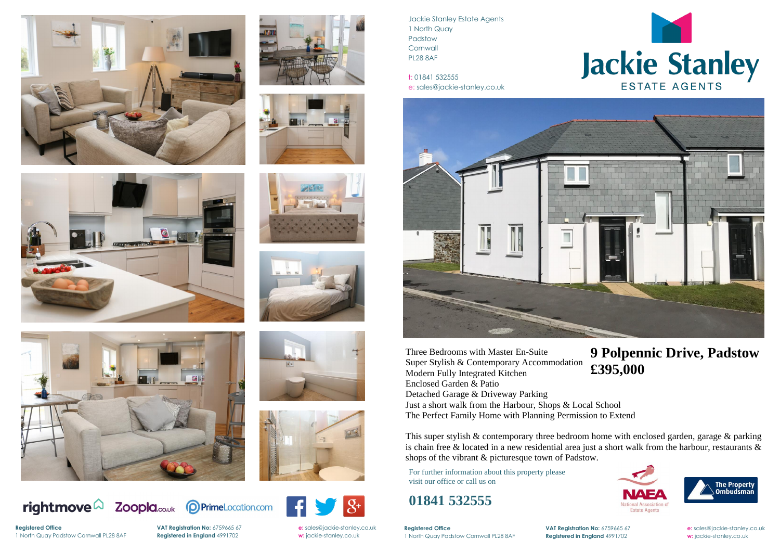















Jackie Stanley Estate Agents 1 North Quay Padstow **Cornwall** PL28 8AF

t: 01841 532555 e: sales@jackie-stanley.co.uk



**Registered Office VAT Registration No:** 6759665 67 **e:** [sales@jackie-stanley.co.uk](mailto:sales@jackie-stanley.co.uk)





1 North Quay Padstow Cornwall PL28 8AF **Registered in England** 4991702 **w:** jackie-stanley.co.uk

For further information about this property please visit our office or call us on

## **01841 532555**

This super stylish & contemporary three bedroom home with enclosed garden, garage & parking is chain free & located in a new residential area just a short walk from the harbour, restaurants & shops of the vibrant & picturesque town of Padstow.

Three Bedrooms with Master En-Suite Super Stylish & Contemporary Accommodation Modern Fully Integrated Kitchen Enclosed Garden & Patio Detached Garage & Driveway Parking Just a short walk from the Harbour, Shops & Local School The Perfect Family Home with Planning Permission to Extend

**Registered Office** 1 North Quay Padstow Cornwall PL28 8AF **Registered in England** 4991702 **w:** jackie-stanley.co.uk

**VAT Registration No:** 6759665 67 **e:** [sales@jackie-stanley.co.uk](mailto:sales@jackie-stanley.co.uk)

## **9 Polpennic Drive, Padstow £395,000**